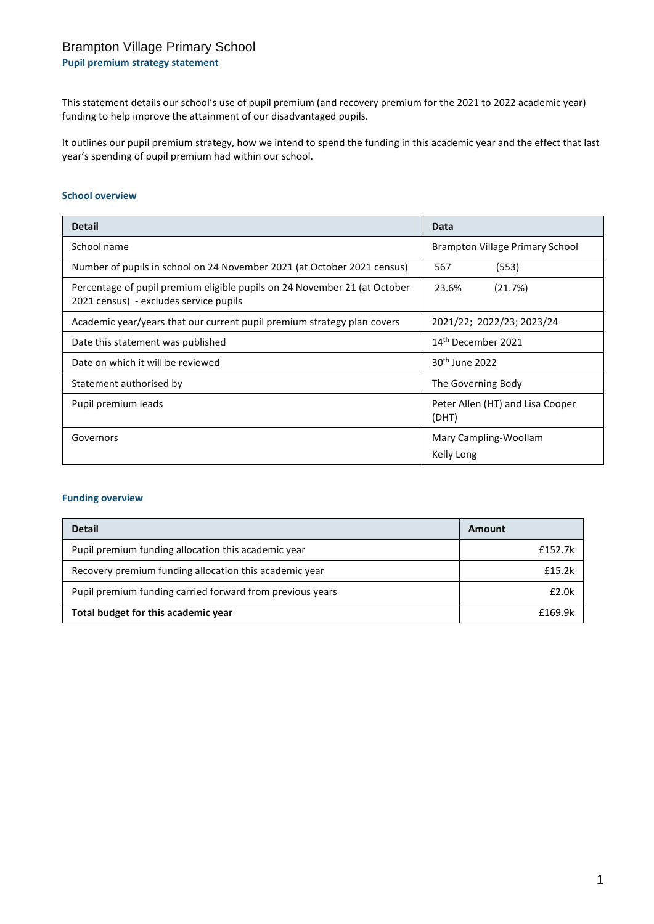## Brampton Village Primary School

**Pupil premium strategy statement**

This statement details our school's use of pupil premium (and recovery premium for the 2021 to 2022 academic year) funding to help improve the attainment of our disadvantaged pupils.

It outlines our pupil premium strategy, how we intend to spend the funding in this academic year and the effect that last year's spending of pupil premium had within our school.

#### **School overview**

| <b>Detail</b>                                                                                                       | Data                                      |  |
|---------------------------------------------------------------------------------------------------------------------|-------------------------------------------|--|
| School name                                                                                                         | Brampton Village Primary School           |  |
| Number of pupils in school on 24 November 2021 (at October 2021 census)                                             | 567<br>(553)                              |  |
| Percentage of pupil premium eligible pupils on 24 November 21 (at October<br>2021 census) - excludes service pupils | 23.6%<br>(21.7%)                          |  |
| Academic year/years that our current pupil premium strategy plan covers                                             | 2021/22; 2022/23; 2023/24                 |  |
| 14 <sup>th</sup> December 2021<br>Date this statement was published                                                 |                                           |  |
| Date on which it will be reviewed                                                                                   | 30 <sup>th</sup> June 2022                |  |
| Statement authorised by                                                                                             | The Governing Body                        |  |
| Pupil premium leads                                                                                                 | Peter Allen (HT) and Lisa Cooper<br>(DHT) |  |
| Governors                                                                                                           | Mary Campling-Woollam                     |  |
|                                                                                                                     | Kelly Long                                |  |

#### **Funding overview**

| <b>Detail</b>                                             | Amount  |
|-----------------------------------------------------------|---------|
| Pupil premium funding allocation this academic year       | £152.7k |
| Recovery premium funding allocation this academic year    | f15.2k  |
| Pupil premium funding carried forward from previous years | f2.0k   |
| Total budget for this academic year                       | £169.9k |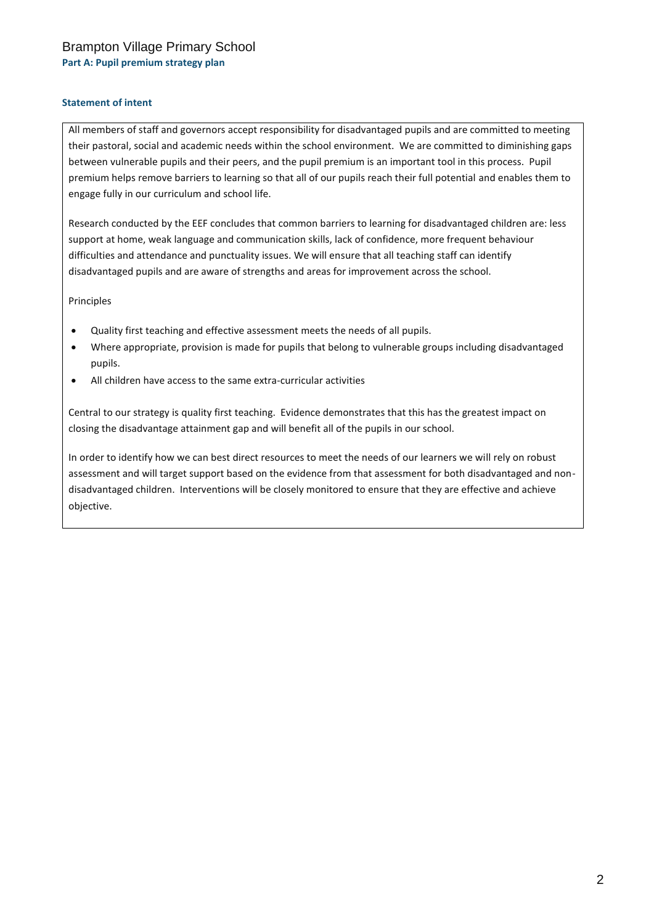## Brampton Village Primary School **Part A: Pupil premium strategy plan**

#### **Statement of intent**

All members of staff and governors accept responsibility for disadvantaged pupils and are committed to meeting their pastoral, social and academic needs within the school environment. We are committed to diminishing gaps between vulnerable pupils and their peers, and the pupil premium is an important tool in this process. Pupil premium helps remove barriers to learning so that all of our pupils reach their full potential and enables them to engage fully in our curriculum and school life.

Research conducted by the EEF concludes that common barriers to learning for disadvantaged children are: less support at home, weak language and communication skills, lack of confidence, more frequent behaviour difficulties and attendance and punctuality issues. We will ensure that all teaching staff can identify disadvantaged pupils and are aware of strengths and areas for improvement across the school.

Principles

- Quality first teaching and effective assessment meets the needs of all pupils.
- Where appropriate, provision is made for pupils that belong to vulnerable groups including disadvantaged pupils.
- All children have access to the same extra-curricular activities

Central to our strategy is quality first teaching. Evidence demonstrates that this has the greatest impact on closing the disadvantage attainment gap and will benefit all of the pupils in our school.

In order to identify how we can best direct resources to meet the needs of our learners we will rely on robust assessment and will target support based on the evidence from that assessment for both disadvantaged and nondisadvantaged children. Interventions will be closely monitored to ensure that they are effective and achieve objective.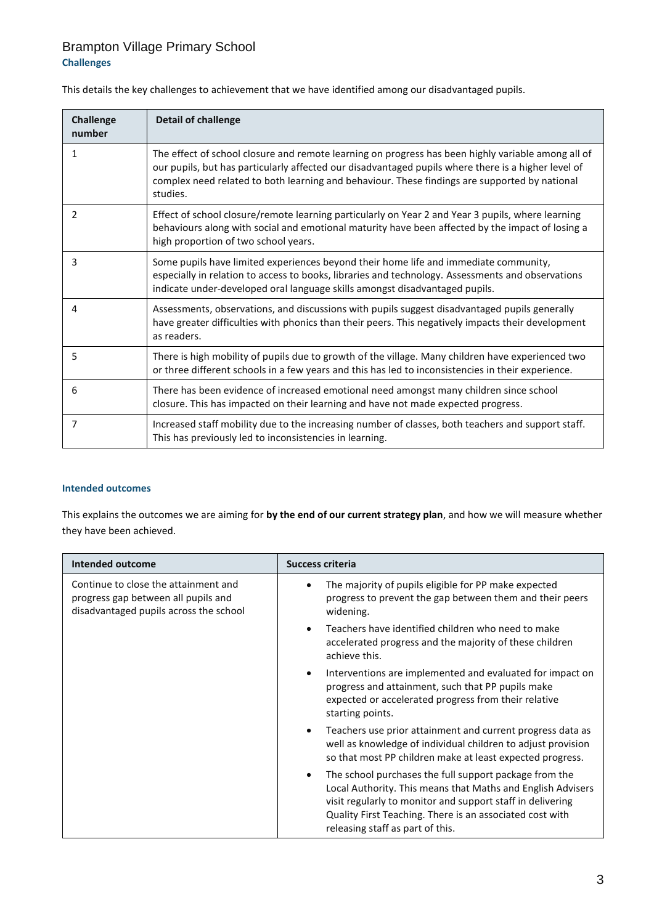## Brampton Village Primary School **Challenges**

This details the key challenges to achievement that we have identified among our disadvantaged pupils.

| <b>Challenge</b><br>number | <b>Detail of challenge</b>                                                                                                                                                                                                                                                                                             |
|----------------------------|------------------------------------------------------------------------------------------------------------------------------------------------------------------------------------------------------------------------------------------------------------------------------------------------------------------------|
| 1                          | The effect of school closure and remote learning on progress has been highly variable among all of<br>our pupils, but has particularly affected our disadvantaged pupils where there is a higher level of<br>complex need related to both learning and behaviour. These findings are supported by national<br>studies. |
| 2                          | Effect of school closure/remote learning particularly on Year 2 and Year 3 pupils, where learning<br>behaviours along with social and emotional maturity have been affected by the impact of losing a<br>high proportion of two school years.                                                                          |
| 3                          | Some pupils have limited experiences beyond their home life and immediate community,<br>especially in relation to access to books, libraries and technology. Assessments and observations<br>indicate under-developed oral language skills amongst disadvantaged pupils.                                               |
| 4                          | Assessments, observations, and discussions with pupils suggest disadvantaged pupils generally<br>have greater difficulties with phonics than their peers. This negatively impacts their development<br>as readers.                                                                                                     |
| 5                          | There is high mobility of pupils due to growth of the village. Many children have experienced two<br>or three different schools in a few years and this has led to inconsistencies in their experience.                                                                                                                |
| 6                          | There has been evidence of increased emotional need amongst many children since school<br>closure. This has impacted on their learning and have not made expected progress.                                                                                                                                            |
| 7                          | Increased staff mobility due to the increasing number of classes, both teachers and support staff.<br>This has previously led to inconsistencies in learning.                                                                                                                                                          |

#### **Intended outcomes**

This explains the outcomes we are aiming for **by the end of our current strategy plan**, and how we will measure whether they have been achieved.

| <b>Intended outcome</b>                                                                                               | <b>Success criteria</b>                                                                                                                                                                                                                                                                          |
|-----------------------------------------------------------------------------------------------------------------------|--------------------------------------------------------------------------------------------------------------------------------------------------------------------------------------------------------------------------------------------------------------------------------------------------|
| Continue to close the attainment and<br>progress gap between all pupils and<br>disadvantaged pupils across the school | The majority of pupils eligible for PP make expected<br>progress to prevent the gap between them and their peers<br>widening.                                                                                                                                                                    |
|                                                                                                                       | Teachers have identified children who need to make<br>accelerated progress and the majority of these children<br>achieve this.                                                                                                                                                                   |
|                                                                                                                       | Interventions are implemented and evaluated for impact on<br>$\bullet$<br>progress and attainment, such that PP pupils make<br>expected or accelerated progress from their relative<br>starting points.                                                                                          |
|                                                                                                                       | Teachers use prior attainment and current progress data as<br>$\bullet$<br>well as knowledge of individual children to adjust provision<br>so that most PP children make at least expected progress.                                                                                             |
|                                                                                                                       | The school purchases the full support package from the<br>$\bullet$<br>Local Authority. This means that Maths and English Advisers<br>visit regularly to monitor and support staff in delivering<br>Quality First Teaching. There is an associated cost with<br>releasing staff as part of this. |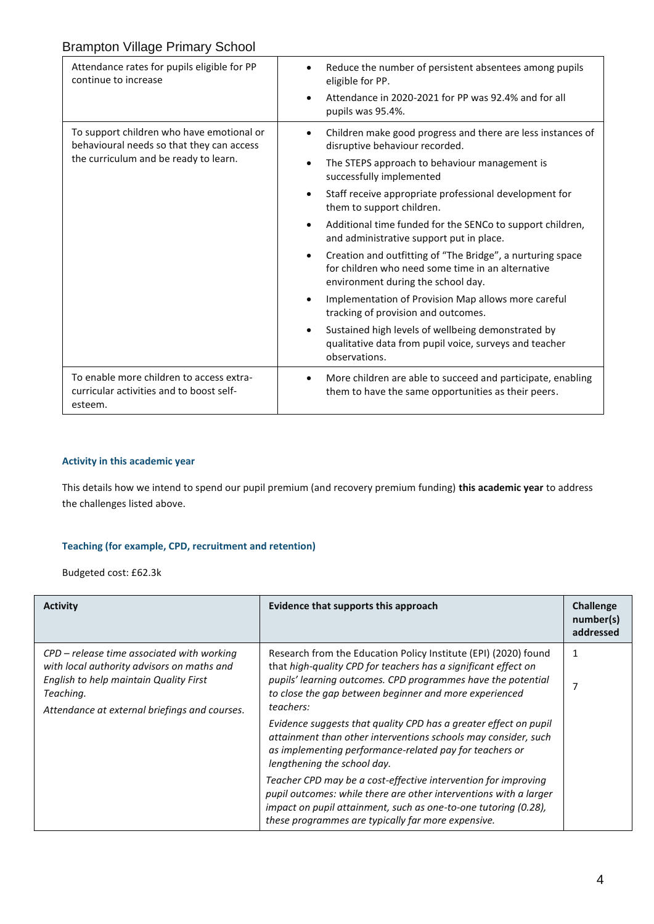| Attendance rates for pupils eligible for PP<br>continue to increase                                                             | Reduce the number of persistent absentees among pupils<br>eligible for PP.<br>Attendance in 2020-2021 for PP was 92.4% and for all<br>pupils was 95.4%.                                                                                                                                                                                                                                                                                                                                                                                                                                                                                                                                                                                                                         |
|---------------------------------------------------------------------------------------------------------------------------------|---------------------------------------------------------------------------------------------------------------------------------------------------------------------------------------------------------------------------------------------------------------------------------------------------------------------------------------------------------------------------------------------------------------------------------------------------------------------------------------------------------------------------------------------------------------------------------------------------------------------------------------------------------------------------------------------------------------------------------------------------------------------------------|
| To support children who have emotional or<br>behavioural needs so that they can access<br>the curriculum and be ready to learn. | Children make good progress and there are less instances of<br>disruptive behaviour recorded.<br>The STEPS approach to behaviour management is<br>$\bullet$<br>successfully implemented<br>Staff receive appropriate professional development for<br>them to support children.<br>Additional time funded for the SENCo to support children,<br>and administrative support put in place.<br>Creation and outfitting of "The Bridge", a nurturing space<br>for children who need some time in an alternative<br>environment during the school day.<br>Implementation of Provision Map allows more careful<br>tracking of provision and outcomes.<br>Sustained high levels of wellbeing demonstrated by<br>qualitative data from pupil voice, surveys and teacher<br>observations. |
| To enable more children to access extra-<br>curricular activities and to boost self-<br>esteem.                                 | More children are able to succeed and participate, enabling<br>them to have the same opportunities as their peers.                                                                                                                                                                                                                                                                                                                                                                                                                                                                                                                                                                                                                                                              |

#### **Activity in this academic year**

This details how we intend to spend our pupil premium (and recovery premium funding) **this academic year** to address the challenges listed above.

#### **Teaching (for example, CPD, recruitment and retention)**

Budgeted cost: £62.3k

| <b>Activity</b>                                                                                                                                                                                    | Evidence that supports this approach                                                                                                                                                                                                                                                                                                         | <b>Challenge</b><br>number(s)<br>addressed |
|----------------------------------------------------------------------------------------------------------------------------------------------------------------------------------------------------|----------------------------------------------------------------------------------------------------------------------------------------------------------------------------------------------------------------------------------------------------------------------------------------------------------------------------------------------|--------------------------------------------|
| $CPD$ – release time associated with working<br>with local authority advisors on maths and<br>English to help maintain Quality First<br>Teaching.<br>Attendance at external briefings and courses. | Research from the Education Policy Institute (EPI) (2020) found<br>that high-quality CPD for teachers has a significant effect on<br>pupils' learning outcomes. CPD programmes have the potential<br>to close the gap between beginner and more experienced<br>teachers:<br>Evidence suggests that quality CPD has a greater effect on pupil |                                            |
|                                                                                                                                                                                                    | attainment than other interventions schools may consider, such<br>as implementing performance-related pay for teachers or<br>lengthening the school day.                                                                                                                                                                                     |                                            |
|                                                                                                                                                                                                    | Teacher CPD may be a cost-effective intervention for improving<br>pupil outcomes: while there are other interventions with a larger<br>impact on pupil attainment, such as one-to-one tutoring (0.28),<br>these programmes are typically far more expensive.                                                                                 |                                            |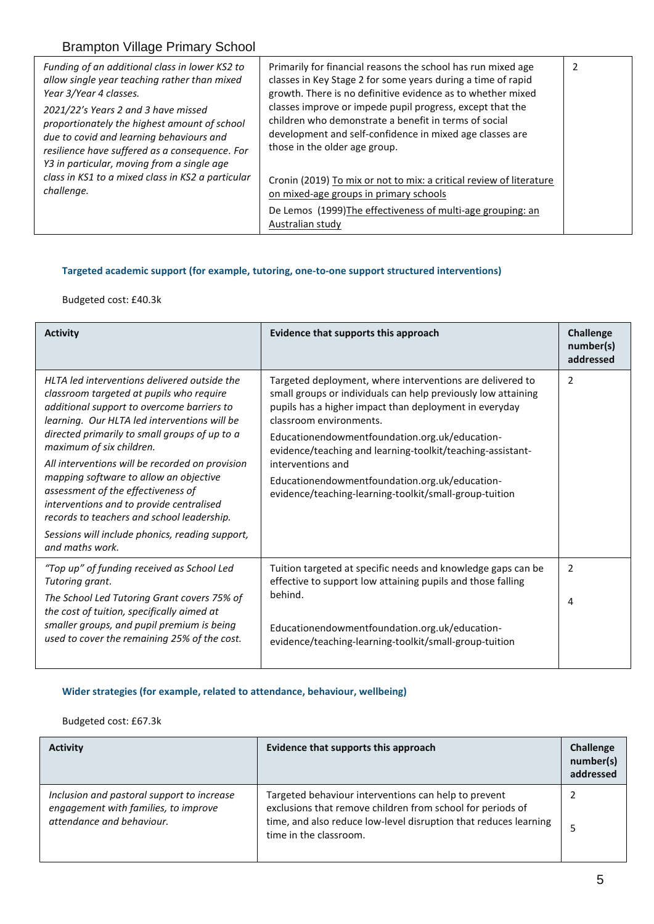| Funding of an additional class in lower KS2 to<br>allow single year teaching rather than mixed<br>Year 3/Year 4 classes.<br>2021/22's Years 2 and 3 have missed<br>proportionately the highest amount of school<br>due to covid and learning behaviours and<br>resilience have suffered as a consequence. For<br>Y3 in particular, moving from a single age | Primarily for financial reasons the school has run mixed age<br>classes in Key Stage 2 for some years during a time of rapid<br>growth. There is no definitive evidence as to whether mixed<br>classes improve or impede pupil progress, except that the<br>children who demonstrate a benefit in terms of social<br>development and self-confidence in mixed age classes are<br>those in the older age group. |  |
|-------------------------------------------------------------------------------------------------------------------------------------------------------------------------------------------------------------------------------------------------------------------------------------------------------------------------------------------------------------|----------------------------------------------------------------------------------------------------------------------------------------------------------------------------------------------------------------------------------------------------------------------------------------------------------------------------------------------------------------------------------------------------------------|--|
| class in KS1 to a mixed class in KS2 a particular<br>challenge.                                                                                                                                                                                                                                                                                             | Cronin (2019) To mix or not to mix: a critical review of literature<br>on mixed-age groups in primary schools                                                                                                                                                                                                                                                                                                  |  |
|                                                                                                                                                                                                                                                                                                                                                             | De Lemos (1999) The effectiveness of multi-age grouping: an<br>Australian study                                                                                                                                                                                                                                                                                                                                |  |

## **Targeted academic support (for example, tutoring, one-to-one support structured interventions)**

Budgeted cost: £40.3k

| <b>Activity</b>                                                                                                                                                                                                                                                                                                                                                                                                                                                                                                                                                        | Evidence that supports this approach                                                                                                                                                                                                                                                                                                                                                                                                                             | Challenge<br>number(s)<br>addressed |
|------------------------------------------------------------------------------------------------------------------------------------------------------------------------------------------------------------------------------------------------------------------------------------------------------------------------------------------------------------------------------------------------------------------------------------------------------------------------------------------------------------------------------------------------------------------------|------------------------------------------------------------------------------------------------------------------------------------------------------------------------------------------------------------------------------------------------------------------------------------------------------------------------------------------------------------------------------------------------------------------------------------------------------------------|-------------------------------------|
| HLTA led interventions delivered outside the<br>classroom targeted at pupils who require<br>additional support to overcome barriers to<br>learning. Our HLTA led interventions will be<br>directed primarily to small groups of up to a<br>maximum of six children.<br>All interventions will be recorded on provision<br>mapping software to allow an objective<br>assessment of the effectiveness of<br>interventions and to provide centralised<br>records to teachers and school leadership.<br>Sessions will include phonics, reading support,<br>and maths work. | Targeted deployment, where interventions are delivered to<br>small groups or individuals can help previously low attaining<br>pupils has a higher impact than deployment in everyday<br>classroom environments.<br>Educationendowmentfoundation.org.uk/education-<br>evidence/teaching and learning-toolkit/teaching-assistant-<br>interventions and<br>Educationendowmentfoundation.org.uk/education-<br>evidence/teaching-learning-toolkit/small-group-tuition | 2                                   |
| "Top up" of funding received as School Led<br>Tutoring grant.<br>The School Led Tutoring Grant covers 75% of<br>the cost of tuition, specifically aimed at<br>smaller groups, and pupil premium is being<br>used to cover the remaining 25% of the cost.                                                                                                                                                                                                                                                                                                               | Tuition targeted at specific needs and knowledge gaps can be<br>effective to support low attaining pupils and those falling<br>behind.<br>Educationendowmentfoundation.org.uk/education-<br>evidence/teaching-learning-toolkit/small-group-tuition                                                                                                                                                                                                               | 2<br>4                              |

## **Wider strategies (for example, related to attendance, behaviour, wellbeing)**

Budgeted cost: £67.3k

| <b>Activity</b>                                                                                                 | Evidence that supports this approach                                                                                                                                                                             | <b>Challenge</b><br>number(s)<br>addressed |
|-----------------------------------------------------------------------------------------------------------------|------------------------------------------------------------------------------------------------------------------------------------------------------------------------------------------------------------------|--------------------------------------------|
| Inclusion and pastoral support to increase<br>engagement with families, to improve<br>attendance and behaviour. | Targeted behaviour interventions can help to prevent<br>exclusions that remove children from school for periods of<br>time, and also reduce low-level disruption that reduces learning<br>time in the classroom. | 5                                          |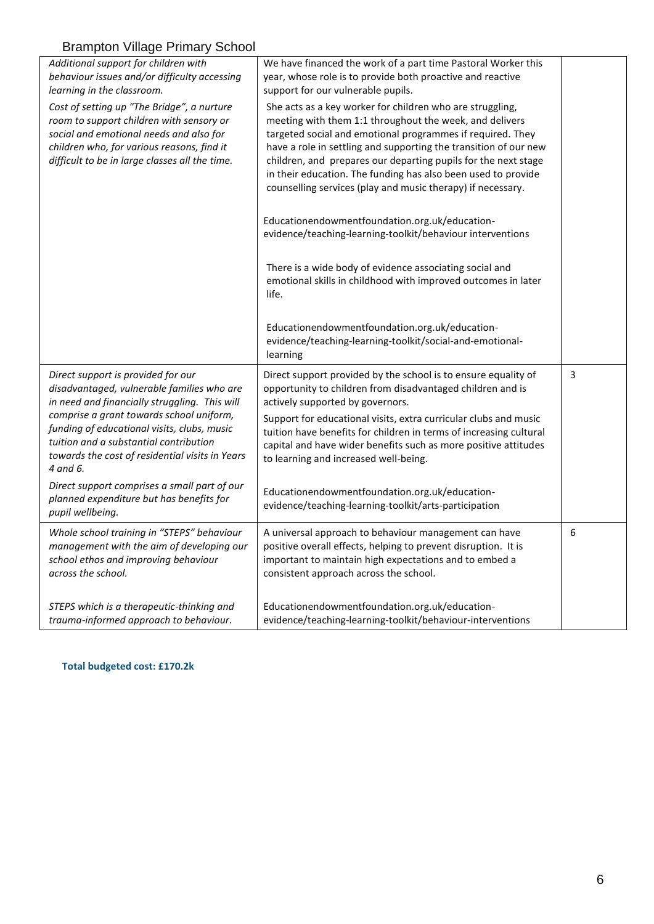| <b>Prampton vinago</b> r imnary concor                                                                                                                                                                                            |                                                                                                                                                                                                                                                                                                                                                                                                                                                          |   |
|-----------------------------------------------------------------------------------------------------------------------------------------------------------------------------------------------------------------------------------|----------------------------------------------------------------------------------------------------------------------------------------------------------------------------------------------------------------------------------------------------------------------------------------------------------------------------------------------------------------------------------------------------------------------------------------------------------|---|
| Additional support for children with<br>behaviour issues and/or difficulty accessing<br>learning in the classroom.                                                                                                                | We have financed the work of a part time Pastoral Worker this<br>year, whose role is to provide both proactive and reactive<br>support for our vulnerable pupils.                                                                                                                                                                                                                                                                                        |   |
| Cost of setting up "The Bridge", a nurture<br>room to support children with sensory or<br>social and emotional needs and also for<br>children who, for various reasons, find it<br>difficult to be in large classes all the time. | She acts as a key worker for children who are struggling,<br>meeting with them 1:1 throughout the week, and delivers<br>targeted social and emotional programmes if required. They<br>have a role in settling and supporting the transition of our new<br>children, and prepares our departing pupils for the next stage<br>in their education. The funding has also been used to provide<br>counselling services (play and music therapy) if necessary. |   |
|                                                                                                                                                                                                                                   | Educationendowmentfoundation.org.uk/education-<br>evidence/teaching-learning-toolkit/behaviour interventions                                                                                                                                                                                                                                                                                                                                             |   |
|                                                                                                                                                                                                                                   | There is a wide body of evidence associating social and<br>emotional skills in childhood with improved outcomes in later<br>life.                                                                                                                                                                                                                                                                                                                        |   |
|                                                                                                                                                                                                                                   | Educationendowmentfoundation.org.uk/education-<br>evidence/teaching-learning-toolkit/social-and-emotional-<br>learning                                                                                                                                                                                                                                                                                                                                   |   |
| Direct support is provided for our<br>disadvantaged, vulnerable families who are<br>in need and financially struggling. This will                                                                                                 | Direct support provided by the school is to ensure equality of<br>opportunity to children from disadvantaged children and is<br>actively supported by governors.                                                                                                                                                                                                                                                                                         | 3 |
| comprise a grant towards school uniform,<br>funding of educational visits, clubs, music<br>tuition and a substantial contribution<br>towards the cost of residential visits in Years<br>4 and 6.                                  | Support for educational visits, extra curricular clubs and music<br>tuition have benefits for children in terms of increasing cultural<br>capital and have wider benefits such as more positive attitudes<br>to learning and increased well-being.                                                                                                                                                                                                       |   |
| Direct support comprises a small part of our<br>planned expenditure but has benefits for<br>pupil wellbeing.                                                                                                                      | Educationendowmentfoundation.org.uk/education-<br>evidence/teaching-learning-toolkit/arts-participation                                                                                                                                                                                                                                                                                                                                                  |   |
| Whole school training in "STEPS" behaviour<br>management with the aim of developing our<br>school ethos and improving behaviour<br>across the school.                                                                             | A universal approach to behaviour management can have<br>positive overall effects, helping to prevent disruption. It is<br>important to maintain high expectations and to embed a<br>consistent approach across the school.                                                                                                                                                                                                                              | 6 |
| STEPS which is a therapeutic-thinking and<br>trauma-informed approach to behaviour.                                                                                                                                               | Educationendowmentfoundation.org.uk/education-<br>evidence/teaching-learning-toolkit/behaviour-interventions                                                                                                                                                                                                                                                                                                                                             |   |

### **Total budgeted cost: £170.2k**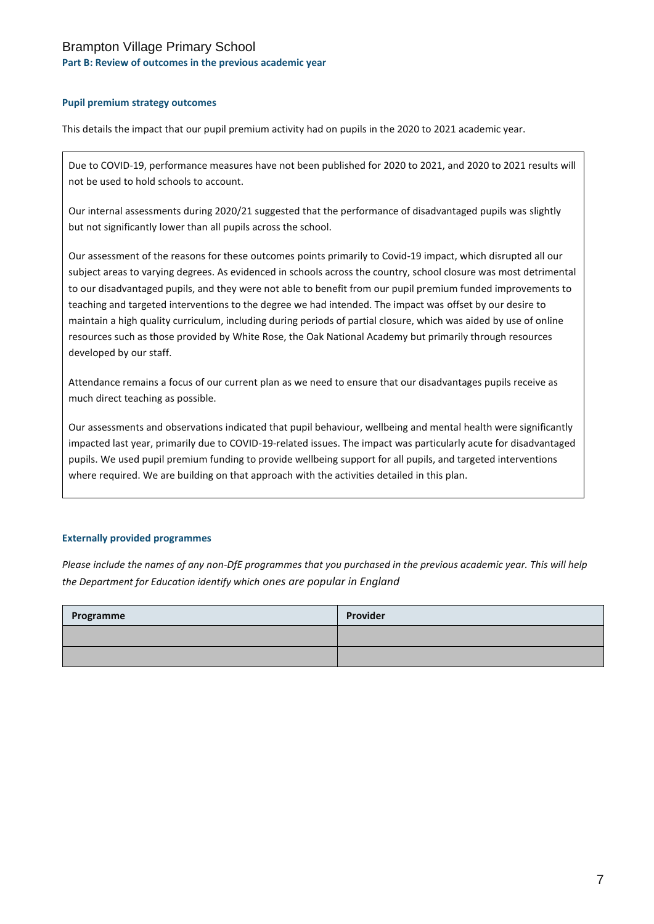## Brampton Village Primary School

#### **Part B: Review of outcomes in the previous academic year**

#### **Pupil premium strategy outcomes**

This details the impact that our pupil premium activity had on pupils in the 2020 to 2021 academic year.

Due to COVID-19, performance measures have not been published for 2020 to 2021, and 2020 to 2021 results will not be used to hold schools to account.

Our internal assessments during 2020/21 suggested that the performance of disadvantaged pupils was slightly but not significantly lower than all pupils across the school.

Our assessment of the reasons for these outcomes points primarily to Covid-19 impact, which disrupted all our subject areas to varying degrees. As evidenced in schools across the country, school closure was most detrimental to our disadvantaged pupils, and they were not able to benefit from our pupil premium funded improvements to teaching and targeted interventions to the degree we had intended. The impact was offset by our desire to maintain a high quality curriculum, including during periods of partial closure, which was aided by use of online resources such as those provided by White Rose, the Oak National Academy but primarily through resources developed by our staff.

Attendance remains a focus of our current plan as we need to ensure that our disadvantages pupils receive as much direct teaching as possible.

Our assessments and observations indicated that pupil behaviour, wellbeing and mental health were significantly impacted last year, primarily due to COVID-19-related issues. The impact was particularly acute for disadvantaged pupils. We used pupil premium funding to provide wellbeing support for all pupils, and targeted interventions where required. We are building on that approach with the activities detailed in this plan.

#### **Externally provided programmes**

*Please include the names of any non-DfE programmes that you purchased in the previous academic year. This will help the Department for Education identify which ones are popular in England*

| Programme | Provider |
|-----------|----------|
|           |          |
|           |          |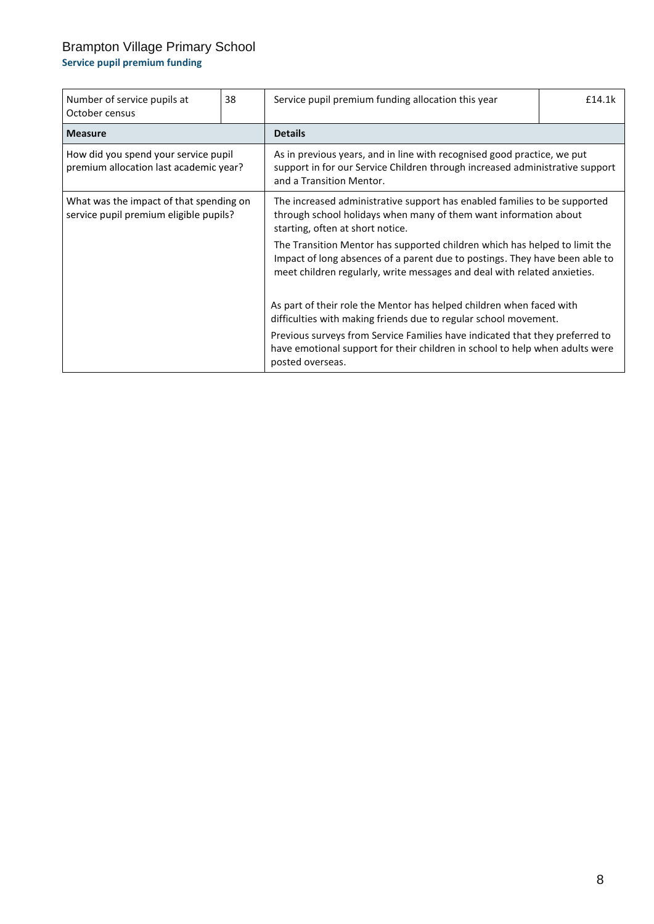# Brampton Village Primary School

## **Service pupil premium funding**

| Number of service pupils at<br>October census                                     | 38 | Service pupil premium funding allocation this year                                                                                                                                                                                    | £14.1k |
|-----------------------------------------------------------------------------------|----|---------------------------------------------------------------------------------------------------------------------------------------------------------------------------------------------------------------------------------------|--------|
| <b>Measure</b>                                                                    |    | <b>Details</b>                                                                                                                                                                                                                        |        |
| How did you spend your service pupil<br>premium allocation last academic year?    |    | As in previous years, and in line with recognised good practice, we put<br>support in for our Service Children through increased administrative support<br>and a Transition Mentor.                                                   |        |
| What was the impact of that spending on<br>service pupil premium eligible pupils? |    | The increased administrative support has enabled families to be supported<br>through school holidays when many of them want information about<br>starting, often at short notice.                                                     |        |
|                                                                                   |    | The Transition Mentor has supported children which has helped to limit the<br>Impact of long absences of a parent due to postings. They have been able to<br>meet children regularly, write messages and deal with related anxieties. |        |
|                                                                                   |    | As part of their role the Mentor has helped children when faced with<br>difficulties with making friends due to regular school movement.                                                                                              |        |
|                                                                                   |    | Previous surveys from Service Families have indicated that they preferred to<br>have emotional support for their children in school to help when adults were<br>posted overseas.                                                      |        |